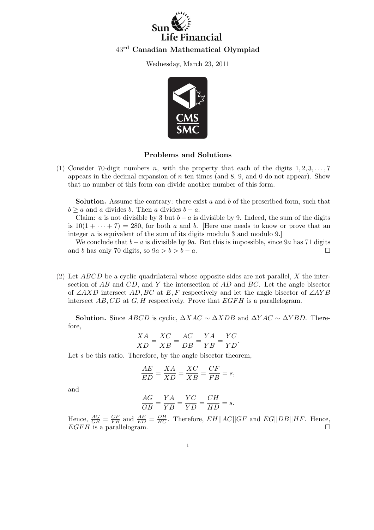## **inancial** 43rd Canadian Mathematical Olympiad

Wednesday, March 23, 2011



## Problems and Solutions

(1) Consider 70-digit numbers n, with the property that each of the digits  $1, 2, 3, \ldots, 7$ appears in the decimal expansion of  $n$  ten times (and 8, 9, and 0 do not appear). Show that no number of this form can divide another number of this form.

**Solution.** Assume the contrary: there exist a and b of the prescribed form, such that  $b \ge a$  and a divides b. Then a divides  $b - a$ .

Claim: a is not divisible by 3 but  $b - a$  is divisible by 9. Indeed, the sum of the digits is  $10(1 + \cdots + 7) = 280$ , for both a and b. [Here one needs to know or prove that an integer  $n$  is equivalent of the sum of its digits modulo 3 and modulo 9.

We conclude that  $b-a$  is divisible by 9a. But this is impossible, since 9a has 71 digits and b has only 70 digits, so  $9a > b > b - a$ .

(2) Let  $ABCD$  be a cyclic quadrilateral whose opposite sides are not parallel, X the intersection of AB and CD, and Y the intersection of AD and BC. Let the angle bisector of ∠AXD intersect AD, BC at E, F respectively and let the angle bisector of ∠AYB intersect  $AB, CD$  at  $G, H$  respectively. Prove that  $EGFH$  is a parallelogram.

**Solution.** Since ABCD is cyclic,  $\Delta XAC \sim \Delta XDB$  and  $\Delta YAC \sim \Delta YBD$ . Therefore,

$$
\frac{XA}{XD} = \frac{XC}{XB} = \frac{AC}{DB} = \frac{YA}{YB} = \frac{YC}{YD}.
$$

Let  $s$  be this ratio. Therefore, by the angle bisector theorem,

$$
\frac{AE}{ED} = \frac{XA}{XD} = \frac{XC}{XB} = \frac{CF}{FB} = s,
$$

and

$$
\frac{AG}{GB} = \frac{YA}{YB} = \frac{YC}{YD} = \frac{CH}{HD} = s.
$$

Hence,  $\frac{AG}{GB} = \frac{CF}{FB}$  $\frac{CF}{FB}$  and  $\frac{AE}{ED} = \frac{DH}{HC}$  $\frac{DH}{HC}$ . Therefore,  $EH||AC||GF$  and  $EG||DB||HF$ . Hence,  $EGFH$  is a parallelogram.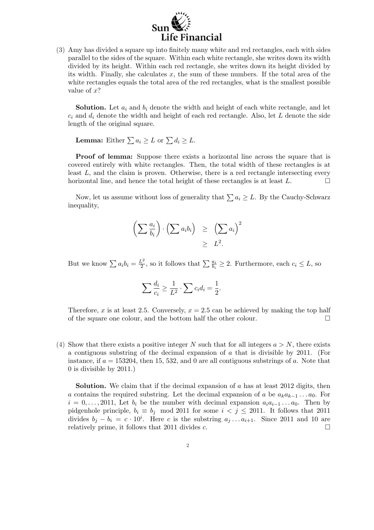

(3) Amy has divided a square up into finitely many white and red rectangles, each with sides parallel to the sides of the square. Within each white rectangle, she writes down its width divided by its height. Within each red rectangle, she writes down its height divided by its width. Finally, she calculates x, the sum of these numbers. If the total area of the white rectangles equals the total area of the red rectangles, what is the smallest possible value of x?

**Solution.** Let  $a_i$  and  $b_i$  denote the width and height of each white rectangle, and let  $c_i$  and  $d_i$  denote the width and height of each red rectangle. Also, let L denote the side length of the original square.

**Lemma:** Either  $\sum a_i \geq L$  or  $\sum d_i \geq L$ .

Proof of lemma: Suppose there exists a horizontal line across the square that is covered entirely with white rectangles. Then, the total width of these rectangles is at least L, and the claim is proven. Otherwise, there is a red rectangle intersecting every horizontal line, and hence the total height of these rectangles is at least  $L$ .  $\Box$ 

Now, let us assume without loss of generality that  $\sum a_i \geq L$ . By the Cauchy-Schwarz inequality,

$$
\left(\sum \frac{a_i}{b_i}\right) \cdot \left(\sum a_i b_i\right) \geq \left(\sum a_i\right)^2 \geq L^2.
$$

But we know  $\sum a_i b_i = \frac{L^2}{2}$  $\frac{L^2}{2}$ , so it follows that  $\sum \frac{a_i}{b_i} \geq 2$ . Furthermore, each  $c_i \leq L$ , so

$$
\sum \frac{d_i}{c_i} \ge \frac{1}{L^2} \cdot \sum c_i d_i = \frac{1}{2}.
$$

Therefore, x is at least 2.5. Conversely,  $x = 2.5$  can be achieved by making the top half of the square one colour, and the bottom half the other colour.  $\Box$ 

(4) Show that there exists a positive integer N such that for all integers  $a > N$ , there exists a contiguous substring of the decimal expansion of a that is divisible by 2011. (For instance, if  $a = 153204$ , then 15, 532, and 0 are all contiguous substrings of a. Note that 0 is divisible by 2011.)

**Solution.** We claim that if the decimal expansion of  $a$  has at least 2012 digits, then a contains the required substring. Let the decimal expansion of a be  $a_k a_{k-1} \ldots a_0$ . For  $i = 0, \ldots, 2011$ , Let  $b_i$  be the number with decimal expansion  $a_i a_{i-1} \ldots a_0$ . Then by pidgenhole principle,  $b_i \equiv b_j \mod 2011$  for some  $i < j \leq 2011$ . It follows that 2011 divides  $b_j - b_i = c \cdot 10^i$ . Here c is the substring  $a_j \dots a_{i+1}$ . Since 2011 and 10 are relatively prime, it follows that 2011 divides c.  $\Box$